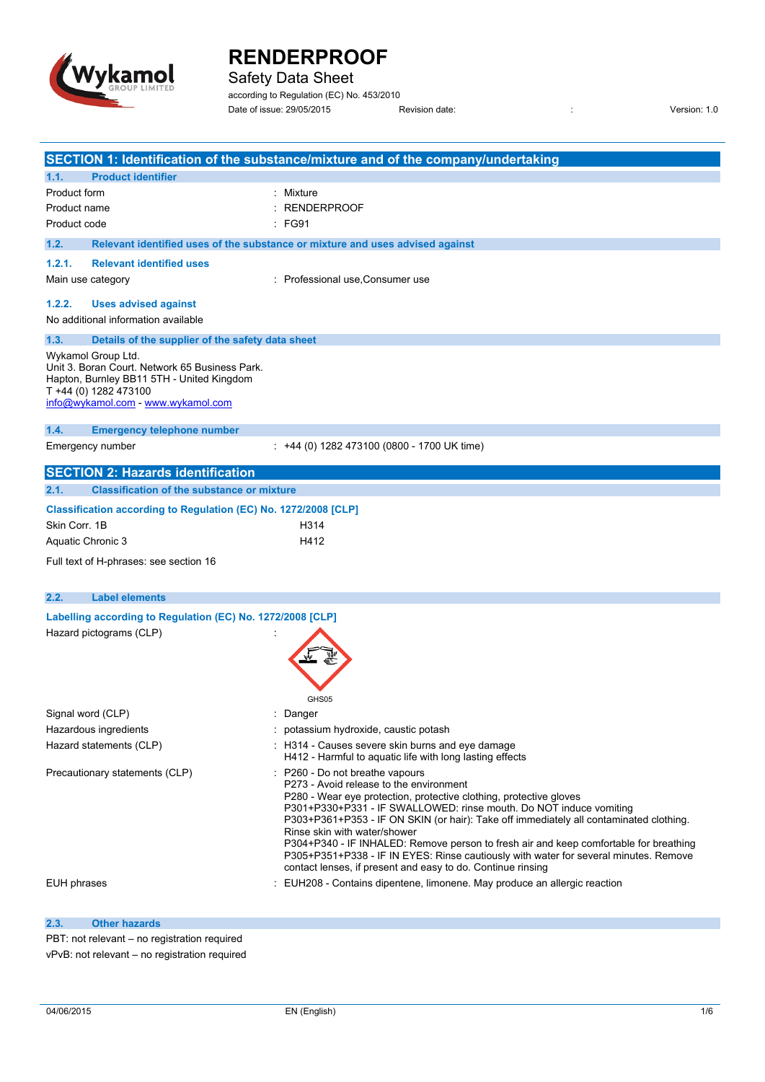

Safety Data Sheet

according to Regulation (EC) No. 453/2010 Date of issue: 29/05/2015 Revision date: : Version: 1.0

|                    |                                                                                                                                                            | SECTION 1: Identification of the substance/mixture and of the company/undertaking                                                                                                                                                                                                                                                                                                                                                                                                                                                                                                                |
|--------------------|------------------------------------------------------------------------------------------------------------------------------------------------------------|--------------------------------------------------------------------------------------------------------------------------------------------------------------------------------------------------------------------------------------------------------------------------------------------------------------------------------------------------------------------------------------------------------------------------------------------------------------------------------------------------------------------------------------------------------------------------------------------------|
| 1.1.               | <b>Product identifier</b>                                                                                                                                  |                                                                                                                                                                                                                                                                                                                                                                                                                                                                                                                                                                                                  |
| Product form       |                                                                                                                                                            | Mixture                                                                                                                                                                                                                                                                                                                                                                                                                                                                                                                                                                                          |
| Product name       |                                                                                                                                                            | <b>RENDERPROOF</b>                                                                                                                                                                                                                                                                                                                                                                                                                                                                                                                                                                               |
| Product code       |                                                                                                                                                            | FG91                                                                                                                                                                                                                                                                                                                                                                                                                                                                                                                                                                                             |
| 1.2.               |                                                                                                                                                            | Relevant identified uses of the substance or mixture and uses advised against                                                                                                                                                                                                                                                                                                                                                                                                                                                                                                                    |
| 1.2.1.             | <b>Relevant identified uses</b>                                                                                                                            |                                                                                                                                                                                                                                                                                                                                                                                                                                                                                                                                                                                                  |
| Main use category  |                                                                                                                                                            | : Professional use, Consumer use                                                                                                                                                                                                                                                                                                                                                                                                                                                                                                                                                                 |
|                    |                                                                                                                                                            |                                                                                                                                                                                                                                                                                                                                                                                                                                                                                                                                                                                                  |
| 1.2.2.             | <b>Uses advised against</b><br>No additional information available                                                                                         |                                                                                                                                                                                                                                                                                                                                                                                                                                                                                                                                                                                                  |
|                    |                                                                                                                                                            |                                                                                                                                                                                                                                                                                                                                                                                                                                                                                                                                                                                                  |
| 1.3.               | Details of the supplier of the safety data sheet                                                                                                           |                                                                                                                                                                                                                                                                                                                                                                                                                                                                                                                                                                                                  |
| Wykamol Group Ltd. | Unit 3. Boran Court. Network 65 Business Park.<br>Hapton, Burnley BB11 5TH - United Kingdom<br>T +44 (0) 1282 473100<br>info@wykamol.com - www.wykamol.com |                                                                                                                                                                                                                                                                                                                                                                                                                                                                                                                                                                                                  |
| 1.4.               | <b>Emergency telephone number</b>                                                                                                                          |                                                                                                                                                                                                                                                                                                                                                                                                                                                                                                                                                                                                  |
| Emergency number   |                                                                                                                                                            | $\div$ +44 (0) 1282 473100 (0800 - 1700 UK time)                                                                                                                                                                                                                                                                                                                                                                                                                                                                                                                                                 |
|                    | <b>SECTION 2: Hazards identification</b>                                                                                                                   |                                                                                                                                                                                                                                                                                                                                                                                                                                                                                                                                                                                                  |
| 2.1.               | <b>Classification of the substance or mixture</b>                                                                                                          |                                                                                                                                                                                                                                                                                                                                                                                                                                                                                                                                                                                                  |
|                    | Classification according to Regulation (EC) No. 1272/2008 [CLP]                                                                                            |                                                                                                                                                                                                                                                                                                                                                                                                                                                                                                                                                                                                  |
| Skin Corr. 1B      |                                                                                                                                                            | H314                                                                                                                                                                                                                                                                                                                                                                                                                                                                                                                                                                                             |
| Aquatic Chronic 3  |                                                                                                                                                            | H412                                                                                                                                                                                                                                                                                                                                                                                                                                                                                                                                                                                             |
|                    | Full text of H-phrases: see section 16                                                                                                                     |                                                                                                                                                                                                                                                                                                                                                                                                                                                                                                                                                                                                  |
|                    |                                                                                                                                                            |                                                                                                                                                                                                                                                                                                                                                                                                                                                                                                                                                                                                  |
| 2.2.               | <b>Label elements</b>                                                                                                                                      |                                                                                                                                                                                                                                                                                                                                                                                                                                                                                                                                                                                                  |
|                    | Labelling according to Regulation (EC) No. 1272/2008 [CLP]                                                                                                 |                                                                                                                                                                                                                                                                                                                                                                                                                                                                                                                                                                                                  |
|                    | Hazard pictograms (CLP)                                                                                                                                    | GHS05                                                                                                                                                                                                                                                                                                                                                                                                                                                                                                                                                                                            |
| Signal word (CLP)  |                                                                                                                                                            | : Danger                                                                                                                                                                                                                                                                                                                                                                                                                                                                                                                                                                                         |
|                    | Hazardous ingredients                                                                                                                                      | potassium hydroxide, caustic potash                                                                                                                                                                                                                                                                                                                                                                                                                                                                                                                                                              |
|                    | Hazard statements (CLP)                                                                                                                                    | : H314 - Causes severe skin burns and eve damage<br>H412 - Harmful to aquatic life with long lasting effects                                                                                                                                                                                                                                                                                                                                                                                                                                                                                     |
|                    | Precautionary statements (CLP)                                                                                                                             | : P260 - Do not breathe vapours<br>P273 - Avoid release to the environment<br>P280 - Wear eye protection, protective clothing, protective gloves<br>P301+P330+P331 - IF SWALLOWED: rinse mouth. Do NOT induce vomiting<br>P303+P361+P353 - IF ON SKIN (or hair): Take off immediately all contaminated clothing.<br>Rinse skin with water/shower<br>P304+P340 - IF INHALED: Remove person to fresh air and keep comfortable for breathing<br>P305+P351+P338 - IF IN EYES: Rinse cautiously with water for several minutes. Remove<br>contact lenses, if present and easy to do. Continue rinsing |
| EUH phrases        |                                                                                                                                                            | EUH208 - Contains dipentene, limonene. May produce an allergic reaction                                                                                                                                                                                                                                                                                                                                                                                                                                                                                                                          |

**2.3. Other hazards**

PBT: not relevant – no registration required vPvB: not relevant – no registration required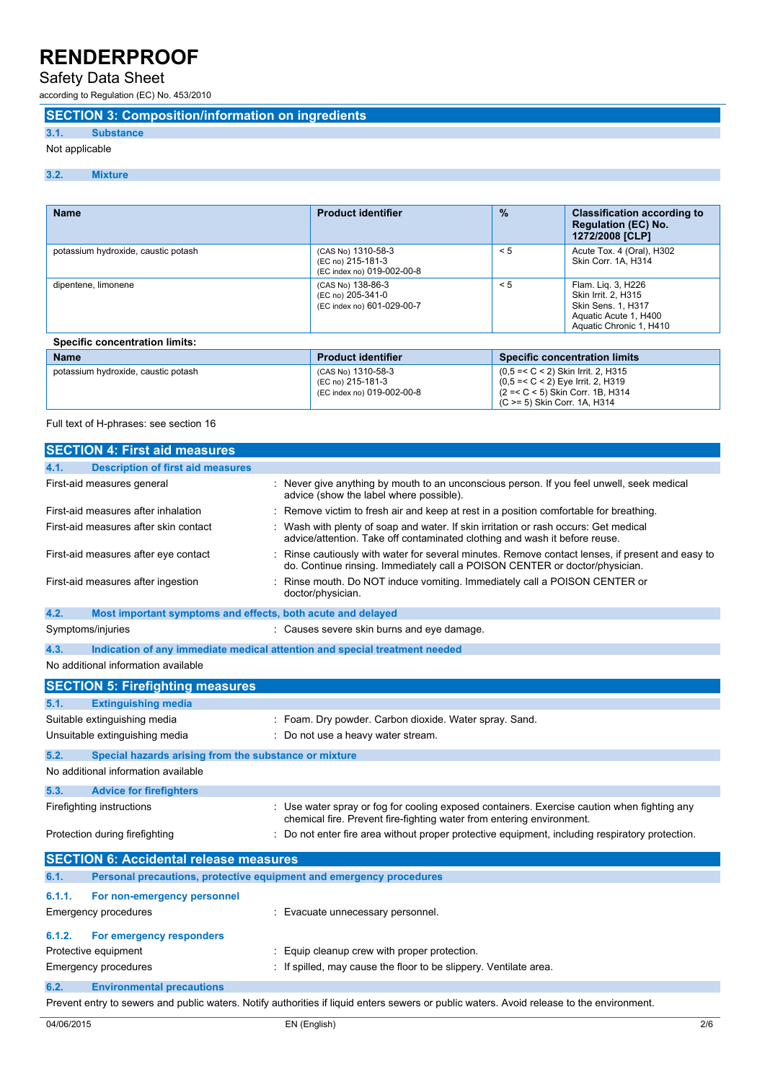# Safety Data Sheet

according to Regulation (EC) No. 453/2010

### **SECTION 3: Composition/information on ingredients**

### **3.1. Substance**

### Not applicable

#### **3.2. Mixture**

| <b>Name</b>                           | <b>Product identifier</b>                                             | $\frac{9}{6}$                                                                                                        | <b>Classification according to</b><br><b>Regulation (EC) No.</b><br>1272/2008 [CLP]                                 |  |
|---------------------------------------|-----------------------------------------------------------------------|----------------------------------------------------------------------------------------------------------------------|---------------------------------------------------------------------------------------------------------------------|--|
| potassium hydroxide, caustic potash   | (CAS No) 1310-58-3<br>(EC no) 215-181-3<br>(EC index no) 019-002-00-8 | < 5                                                                                                                  | Acute Tox. 4 (Oral), H302<br>Skin Corr. 1A, H314                                                                    |  |
| dipentene, limonene                   | (CAS No) 138-86-3<br>(EC no) 205-341-0<br>(EC index no) 601-029-00-7  | < 5                                                                                                                  | Flam. Lig. 3, H226<br>Skin Irrit. 2. H315<br>Skin Sens. 1, H317<br>Aquatic Acute 1, H400<br>Aquatic Chronic 1, H410 |  |
| <b>Specific concentration limits:</b> |                                                                       |                                                                                                                      |                                                                                                                     |  |
| <b>Name</b>                           | <b>Product identifier</b>                                             |                                                                                                                      | <b>Specific concentration limits</b>                                                                                |  |
| potassium hydroxide, caustic potash   | (CAS No) 1310-58-3<br>(EC no) 215-181-3<br>(EC index no) 019-002-00-8 | $(0.5 = < C < 2)$ Skin Irrit. 2, H315<br>$(0.5 = < C < 2)$ Eve Irrit. 2. H319<br>$(2 = < C < 5)$ Skin Corr, 1B, H314 |                                                                                                                     |  |

(C >= 5) Skin Corr. 1A, H314

Full text of H-phrases: see section 16

| <b>SECTION 4: First aid measures</b>                                        |                                                                                                                                                                               |  |  |
|-----------------------------------------------------------------------------|-------------------------------------------------------------------------------------------------------------------------------------------------------------------------------|--|--|
| <b>Description of first aid measures</b><br>4.1.                            |                                                                                                                                                                               |  |  |
| First-aid measures general                                                  | Never give anything by mouth to an unconscious person. If you feel unwell, seek medical<br>advice (show the label where possible).                                            |  |  |
| First-aid measures after inhalation                                         | Remove victim to fresh air and keep at rest in a position comfortable for breathing.                                                                                          |  |  |
| First-aid measures after skin contact                                       | Wash with plenty of soap and water. If skin irritation or rash occurs: Get medical<br>advice/attention. Take off contaminated clothing and wash it before reuse.              |  |  |
| First-aid measures after eye contact                                        | Rinse cautiously with water for several minutes. Remove contact lenses, if present and easy to<br>do. Continue rinsing. Immediately call a POISON CENTER or doctor/physician. |  |  |
| First-aid measures after ingestion                                          | Rinse mouth. Do NOT induce vomiting. Immediately call a POISON CENTER or<br>doctor/physician.                                                                                 |  |  |
| 4.2.<br>Most important symptoms and effects, both acute and delayed         |                                                                                                                                                                               |  |  |
| Symptoms/injuries                                                           | : Causes severe skin burns and eye damage.                                                                                                                                    |  |  |
| 4.3.                                                                        | Indication of any immediate medical attention and special treatment needed                                                                                                    |  |  |
| No additional information available                                         |                                                                                                                                                                               |  |  |
| <b>SECTION 5: Firefighting measures</b>                                     |                                                                                                                                                                               |  |  |
| <b>Extinguishing media</b><br>5.1.                                          |                                                                                                                                                                               |  |  |
| Suitable extinguishing media                                                | Foam. Dry powder. Carbon dioxide. Water spray. Sand.                                                                                                                          |  |  |
| Unsuitable extinguishing media                                              | Do not use a heavy water stream.                                                                                                                                              |  |  |
| 5.2.<br>Special hazards arising from the substance or mixture               |                                                                                                                                                                               |  |  |
| No additional information available                                         |                                                                                                                                                                               |  |  |
| 5.3.<br><b>Advice for firefighters</b>                                      |                                                                                                                                                                               |  |  |
| Firefighting instructions                                                   | : Use water spray or fog for cooling exposed containers. Exercise caution when fighting any<br>chemical fire. Prevent fire-fighting water from entering environment.          |  |  |
| Protection during firefighting                                              | Do not enter fire area without proper protective equipment, including respiratory protection.                                                                                 |  |  |
| <b>SECTION 6: Accidental release measures</b>                               |                                                                                                                                                                               |  |  |
| Personal precautions, protective equipment and emergency procedures<br>6.1. |                                                                                                                                                                               |  |  |
| 6.1.1.<br>For non-emergency personnel                                       |                                                                                                                                                                               |  |  |
| <b>Emergency procedures</b>                                                 | : Evacuate unnecessary personnel.                                                                                                                                             |  |  |
| 6.1.2.<br>For emergency responders                                          |                                                                                                                                                                               |  |  |
| Protective equipment                                                        | Equip cleanup crew with proper protection.                                                                                                                                    |  |  |
| <b>Emergency procedures</b>                                                 | If spilled, may cause the floor to be slippery. Ventilate area.                                                                                                               |  |  |
| <b>Environmental precautions</b><br>6.2.                                    |                                                                                                                                                                               |  |  |
|                                                                             | Prevent entry to sewers and public waters. Notify authorities if liquid enters sewers or public waters. Avoid release to the environment.                                     |  |  |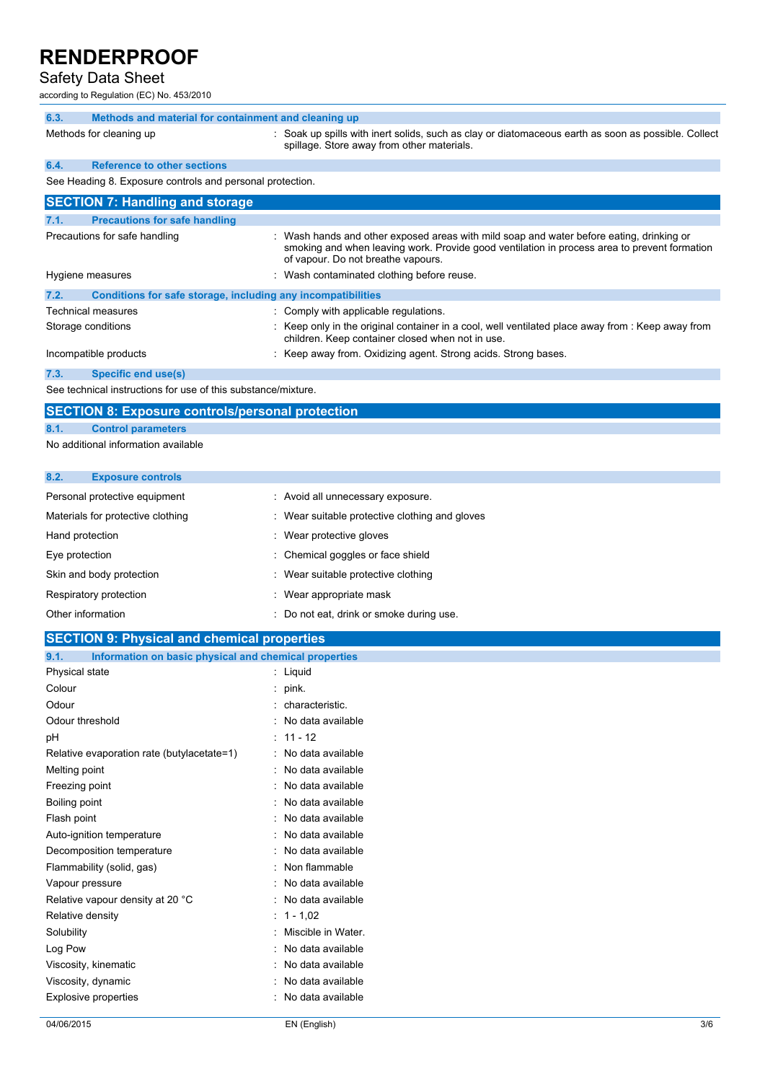### Safety Data Sheet

according to Regulation (EC) No. 453/2010

| 6.3. | Methods and material for containment and cleaning up |  |                                                                                                                                                   |
|------|------------------------------------------------------|--|---------------------------------------------------------------------------------------------------------------------------------------------------|
|      | Methods for cleaning up                              |  | : Soak up spills with inert solids, such as clay or diatomaceous earth as soon as possible. Collect<br>spillage. Store away from other materials. |

# **6.4. Reference to other sections**

See Heading 8. Exposure controls and personal protection.

| <b>SECTION 7: Handling and storage</b>                               |                                                                                                                                                                                                                                |  |  |
|----------------------------------------------------------------------|--------------------------------------------------------------------------------------------------------------------------------------------------------------------------------------------------------------------------------|--|--|
| <b>Precautions for safe handling</b><br>7.1.                         |                                                                                                                                                                                                                                |  |  |
| Precautions for safe handling                                        | : Wash hands and other exposed areas with mild soap and water before eating, drinking or<br>smoking and when leaving work. Provide good ventilation in process area to prevent formation<br>of vapour. Do not breathe vapours. |  |  |
| Hygiene measures                                                     | : Wash contaminated clothing before reuse.                                                                                                                                                                                     |  |  |
| 7.2.<br>Conditions for safe storage, including any incompatibilities |                                                                                                                                                                                                                                |  |  |
| <b>Technical measures</b>                                            | : Comply with applicable regulations.                                                                                                                                                                                          |  |  |
| Storage conditions                                                   | : Keep only in the original container in a cool, well ventilated place away from : Keep away from<br>children. Keep container closed when not in use.                                                                          |  |  |
| Incompatible products                                                | Keep away from. Oxidizing agent. Strong acids. Strong bases.                                                                                                                                                                   |  |  |
| 7.3.<br><b>Specific end use(s)</b>                                   |                                                                                                                                                                                                                                |  |  |
| _ _ _ _ _ _ _ _ _ _ _ _                                              |                                                                                                                                                                                                                                |  |  |

See technical instructions for use of this substance/mixture.

### **SECTION 8: Exposure controls/personal protection**

#### **8.1. Control parameters**

No additional information available

| 8.2.                              | <b>Exposure controls</b> |                                                |
|-----------------------------------|--------------------------|------------------------------------------------|
| Personal protective equipment     |                          | : Avoid all unnecessary exposure.              |
| Materials for protective clothing |                          | : Wear suitable protective clothing and gloves |
|                                   | Hand protection          | : Wear protective gloves                       |
| Eye protection                    |                          | : Chemical goggles or face shield              |
|                                   | Skin and body protection | : Wear suitable protective clothing            |
|                                   | Respiratory protection   | : Wear appropriate mask                        |
| Other information                 |                          | Do not eat, drink or smoke during use.         |

### **SECTION 9: Physical and chemical properties**

| Information on basic physical and chemical properties<br>9.1. |                     |  |
|---------------------------------------------------------------|---------------------|--|
| Physical state                                                | : Liquid            |  |
| Colour                                                        | : $pink$ .          |  |
| Odour                                                         | : characteristic.   |  |
| Odour threshold                                               | : No data available |  |
| рH                                                            | $: 11 - 12$         |  |
| Relative evaporation rate (butylacetate=1)                    | : No data available |  |
| Melting point                                                 | : No data available |  |
| Freezing point                                                | : No data available |  |
| Boiling point                                                 | : No data available |  |
| Flash point                                                   | : No data available |  |
| Auto-ignition temperature                                     | : No data available |  |
| Decomposition temperature                                     | : No data available |  |
| Flammability (solid, gas)                                     | : Non flammable     |  |
| Vapour pressure                                               | : No data available |  |
| Relative vapour density at 20 °C                              | : No data available |  |
| Relative density                                              | : $1 - 1,02$        |  |
| Solubility                                                    | Miscible in Water.  |  |
| Log Pow                                                       | : No data available |  |
| Viscosity, kinematic                                          | : No data available |  |
| Viscosity, dynamic                                            | : No data available |  |
| <b>Explosive properties</b>                                   | : No data available |  |
|                                                               |                     |  |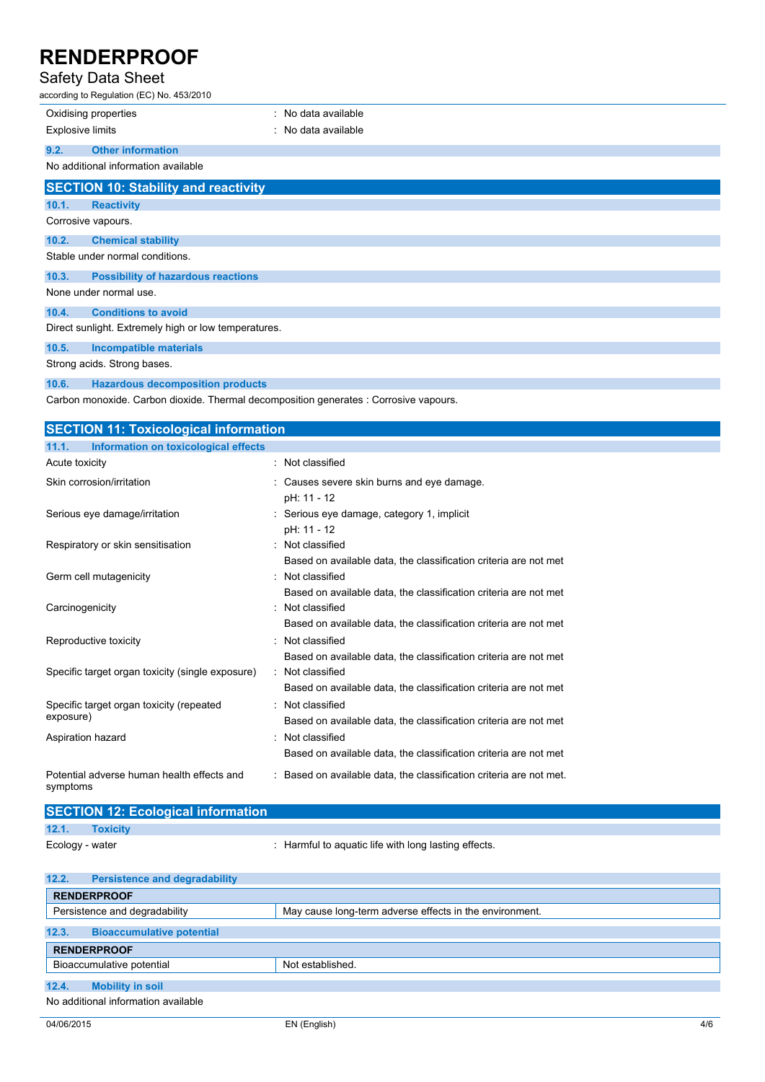## Safety Data Sheet

| odivit Duiu Onoot<br>according to Regulation (EC) No. 453/2010 |                     |  |
|----------------------------------------------------------------|---------------------|--|
| Oxidising properties                                           | : No data available |  |
| <b>Explosive limits</b>                                        | : No data available |  |
| <b>Other information</b><br>9.2.                               |                     |  |
| No additional information available                            |                     |  |
| <b>SECTION 10: Stability and reactivity</b>                    |                     |  |
| 10.1.<br><b>Reactivity</b>                                     |                     |  |
| Corrosive vapours.                                             |                     |  |
| <b>Chemical stability</b><br>10.2.                             |                     |  |
| Stable under normal conditions.                                |                     |  |
| <b>Possibility of hazardous reactions</b><br>10.3.             |                     |  |
| None under normal use.                                         |                     |  |
| <b>Conditions to avoid</b><br>10.4.                            |                     |  |
| Direct sunlight. Extremely high or low temperatures.           |                     |  |
| 10.5.<br><b>Incompatible materials</b>                         |                     |  |

Strong acids. Strong bases.

### **10.6. Hazardous decomposition products**

Carbon monoxide. Carbon dioxide. Thermal decomposition generates : Corrosive vapours.

| <b>SECTION 11: Toxicological information</b>           |                                                                                      |  |
|--------------------------------------------------------|--------------------------------------------------------------------------------------|--|
| 11.1.<br>Information on toxicological effects          |                                                                                      |  |
| Acute toxicity                                         | : Not classified                                                                     |  |
| Skin corrosion/irritation                              | : Causes severe skin burns and eye damage.<br>pH: 11 - 12                            |  |
| Serious eye damage/irritation                          | : Serious eye damage, category 1, implicit<br>pH: 11 - 12                            |  |
| Respiratory or skin sensitisation                      | : Not classified<br>Based on available data, the classification criteria are not met |  |
| Germ cell mutagenicity                                 | : Not classified<br>Based on available data, the classification criteria are not met |  |
| Carcinogenicity                                        | Not classified<br>Based on available data, the classification criteria are not met   |  |
| Reproductive toxicity                                  | : Not classified<br>Based on available data, the classification criteria are not met |  |
| Specific target organ toxicity (single exposure)       | : Not classified<br>Based on available data, the classification criteria are not met |  |
| Specific target organ toxicity (repeated<br>exposure)  | : Not classified<br>Based on available data, the classification criteria are not met |  |
| Aspiration hazard                                      | : Not classified<br>Based on available data, the classification criteria are not met |  |
| Potential adverse human health effects and<br>symptoms | : Based on available data, the classification criteria are not met.                  |  |

|                  | <b>SECTION 12: Ecological information</b> |                                                      |
|------------------|-------------------------------------------|------------------------------------------------------|
| 12.1.            | <b>Toxicity</b>                           |                                                      |
| Ecology - water  |                                           | : Harmful to aquatic life with long lasting effects. |
|                  |                                           |                                                      |
| $\overline{400}$ | Development and deputadolities            |                                                      |

| 12.2.<br><b>Persistence and degradability</b> |                                                         |  |
|-----------------------------------------------|---------------------------------------------------------|--|
| <b>RENDERPROOF</b>                            |                                                         |  |
| Persistence and degradability                 | May cause long-term adverse effects in the environment. |  |
|                                               |                                                         |  |
| 12.3.<br><b>Bioaccumulative potential</b>     |                                                         |  |
| <b>RENDERPROOF</b>                            |                                                         |  |
| Bioaccumulative potential                     | Not established.                                        |  |
|                                               |                                                         |  |
| 12.4.<br><b>Mobility in soil</b>              |                                                         |  |
| No additional information available           |                                                         |  |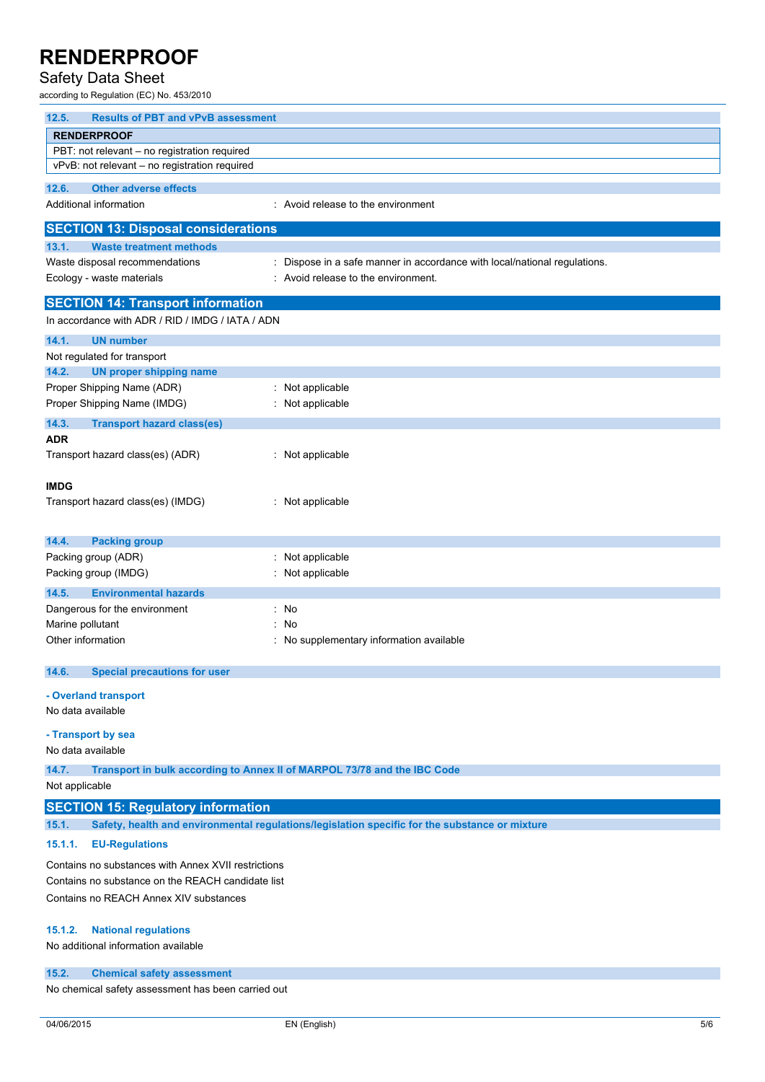## Safety Data Sheet

according to Regulation (EC) No. 453/2010

| 12.5.<br><b>Results of PBT and vPvB assessment</b>  |                                                                                                |  |  |
|-----------------------------------------------------|------------------------------------------------------------------------------------------------|--|--|
| <b>RENDERPROOF</b>                                  |                                                                                                |  |  |
| PBT: not relevant - no registration required        |                                                                                                |  |  |
| vPvB: not relevant - no registration required       |                                                                                                |  |  |
| 12.6.<br><b>Other adverse effects</b>               |                                                                                                |  |  |
| Additional information                              | : Avoid release to the environment                                                             |  |  |
| <b>SECTION 13: Disposal considerations</b>          |                                                                                                |  |  |
| 13.1.<br><b>Waste treatment methods</b>             |                                                                                                |  |  |
| Waste disposal recommendations                      | : Dispose in a safe manner in accordance with local/national regulations.                      |  |  |
| Ecology - waste materials                           | Avoid release to the environment.                                                              |  |  |
| <b>SECTION 14: Transport information</b>            |                                                                                                |  |  |
| In accordance with ADR / RID / IMDG / IATA / ADN    |                                                                                                |  |  |
| 14.1.<br><b>UN number</b>                           |                                                                                                |  |  |
| Not regulated for transport                         |                                                                                                |  |  |
| 14.2.<br><b>UN proper shipping name</b>             |                                                                                                |  |  |
| Proper Shipping Name (ADR)                          | : Not applicable                                                                               |  |  |
| Proper Shipping Name (IMDG)                         | : Not applicable                                                                               |  |  |
| 14.3.                                               |                                                                                                |  |  |
| <b>Transport hazard class(es)</b><br>ADR            |                                                                                                |  |  |
| Transport hazard class(es) (ADR)                    | : Not applicable                                                                               |  |  |
|                                                     |                                                                                                |  |  |
| <b>IMDG</b>                                         |                                                                                                |  |  |
| Transport hazard class(es) (IMDG)                   | : Not applicable                                                                               |  |  |
|                                                     |                                                                                                |  |  |
| 14.4.                                               |                                                                                                |  |  |
| <b>Packing group</b><br>Packing group (ADR)         | : Not applicable                                                                               |  |  |
| Packing group (IMDG)                                | : Not applicable                                                                               |  |  |
|                                                     |                                                                                                |  |  |
| 14.5.<br><b>Environmental hazards</b>               |                                                                                                |  |  |
| Dangerous for the environment                       | : No                                                                                           |  |  |
| Marine pollutant                                    | No                                                                                             |  |  |
| Other information                                   | : No supplementary information available                                                       |  |  |
| 14.6.<br><b>Special precautions for user</b>        |                                                                                                |  |  |
|                                                     |                                                                                                |  |  |
| - Overland transport<br>No data available           |                                                                                                |  |  |
|                                                     |                                                                                                |  |  |
| - Transport by sea                                  |                                                                                                |  |  |
| No data available                                   |                                                                                                |  |  |
| 14.7.                                               | Transport in bulk according to Annex II of MARPOL 73/78 and the IBC Code                       |  |  |
| Not applicable                                      |                                                                                                |  |  |
| <b>SECTION 15: Regulatory information</b>           |                                                                                                |  |  |
| 15.1.                                               | Safety, health and environmental regulations/legislation specific for the substance or mixture |  |  |
| 15.1.1.<br><b>EU-Regulations</b>                    |                                                                                                |  |  |
| Contains no substances with Annex XVII restrictions |                                                                                                |  |  |
| Contains no substance on the REACH candidate list   |                                                                                                |  |  |
| Contains no REACH Annex XIV substances              |                                                                                                |  |  |
|                                                     |                                                                                                |  |  |
| <b>National regulations</b><br>15.1.2.              |                                                                                                |  |  |
| No additional information available                 |                                                                                                |  |  |
|                                                     |                                                                                                |  |  |
| 15.2.<br><b>Chemical safety assessment</b>          |                                                                                                |  |  |

No chemical safety assessment has been carried out